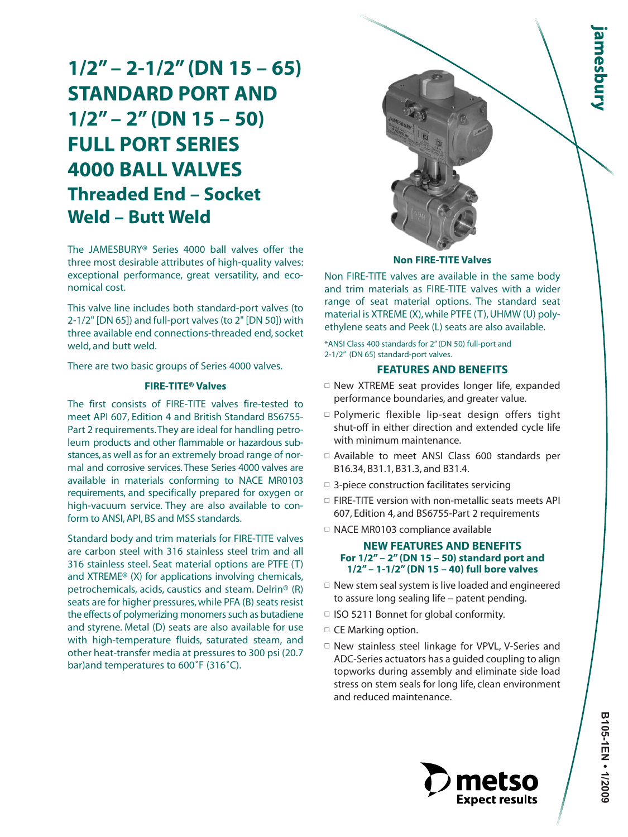# **1/2" – 2-1/2" (DN 15 – 65) STANDARD PORT AND 1/2" – 2" (DN 15 – 50) FULL PORT SERIES 4000 BALL VALVES Threaded End – Socket Weld – Butt Weld**

The JAMESBURY® Series 4000 ball valves offer the three most desirable attributes of high-quality valves: exceptional performance, great versatility, and economical cost.

This valve line includes both standard-port valves (to 2-1/2" [DN 65]) and full-port valves (to 2" [DN 50]) with three available end connections-threaded end, socket weld, and butt weld.

There are two basic groups of Series 4000 valves.

# **FIRE-TITE® Valves**

The first consists of FIRE-TITE valves fire-tested to meet API 607, Edition 4 and British Standard BS6755- Part 2 requirements.They are ideal for handling petroleum products and other flammable or hazardous substances,as well as for an extremely broad range of normal and corrosive services. These Series 4000 valves are available in materials conforming to NACE MR0103 requirements, and specifically prepared for oxygen or high-vacuum service. They are also available to conform to ANSI, API, BS and MSS standards.

Standard body and trim materials for FIRE-TITE valves are carbon steel with 316 stainless steel trim and all 316 stainless steel. Seat material options are PTFE (T) and XTREME® (X) for applications involving chemicals, petrochemicals, acids, caustics and steam. Delrin® (R) seats are for higher pressures, while PFA (B) seats resist the effects of polymerizing monomers such as butadiene and styrene. Metal (D) seats are also available for use with high-temperature fluids, saturated steam, and other heat-transfer media at pressures to 300 psi (20.7 bar)and temperatures to 600˚F (316˚C).



#### **Non FIRE-TITE Valves**

Non FIRE-TITE valves are available in the same body and trim materials as FIRE-TITE valves with a wider range of seat material options. The standard seat material is XTREME (X), while PTFE (T), UHMW (U) polyethylene seats and Peek (L) seats are also available.

\*ANSI Class 400 standards for 2" (DN 50) full-port and 2-1/2" (DN 65) standard-port valves.

#### **FEATURES AND BENEFITS**

- $\square$  New XTREME seat provides longer life, expanded performance boundaries, and greater value.
- □ Polymeric flexible lip-seat design offers tight shut-off in either direction and extended cycle life with minimum maintenance.
- □ Available to meet ANSI Class 600 standards per B16.34, B31.1, B31.3, and B31.4.
- $\Box$  3-piece construction facilitates servicing
- □ FIRE-TITE version with non-metallic seats meets API 607, Edition 4, and BS6755-Part 2 requirements
- □ NACE MR0103 compliance available

# **NEW FEATURES AND BENEFITS For 1/2" – 2" (DN 15 – 50) standard port and 1/2" – 1-1/2" (DN 15 – 40) full bore valves**

- $\Box$  New stem seal system is live loaded and engineered to assure long sealing life – patent pending.
- □ ISO 5211 Bonnet for global conformity.
- □ CE Marking option.
- □ New stainless steel linkage for VPVL, V-Series and ADC-Series actuators has a guided coupling to align topworks during assembly and eliminate side load stress on stem seals for long life, clean environment and reduced maintenance.

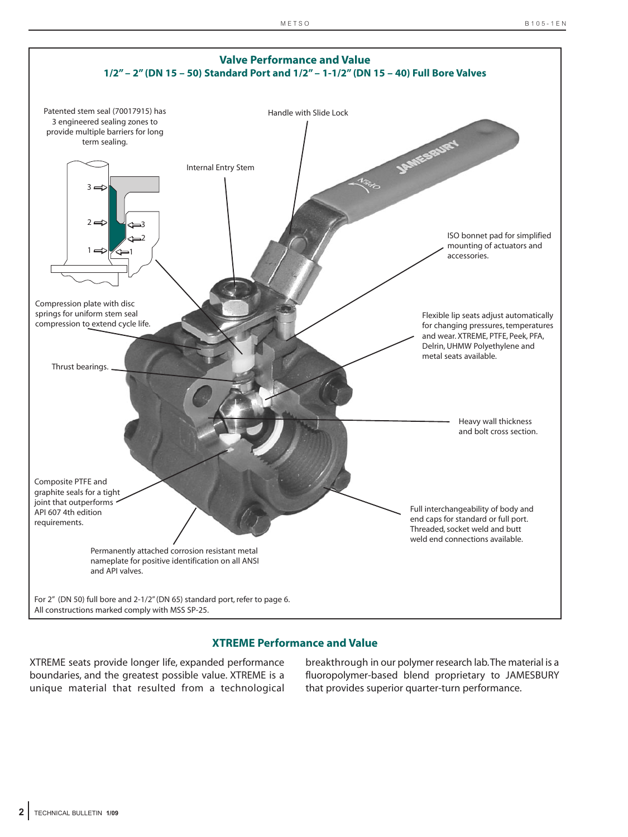

# **XTREME Performance and Value**

XTREME seats provide longer life, expanded performance boundaries, and the greatest possible value. XTREME is a unique material that resulted from a technological

breakthrough in our polymer research lab.The material is a fluoropolymer-based blend proprietary to JAMESBURY that provides superior quarter-turn performance.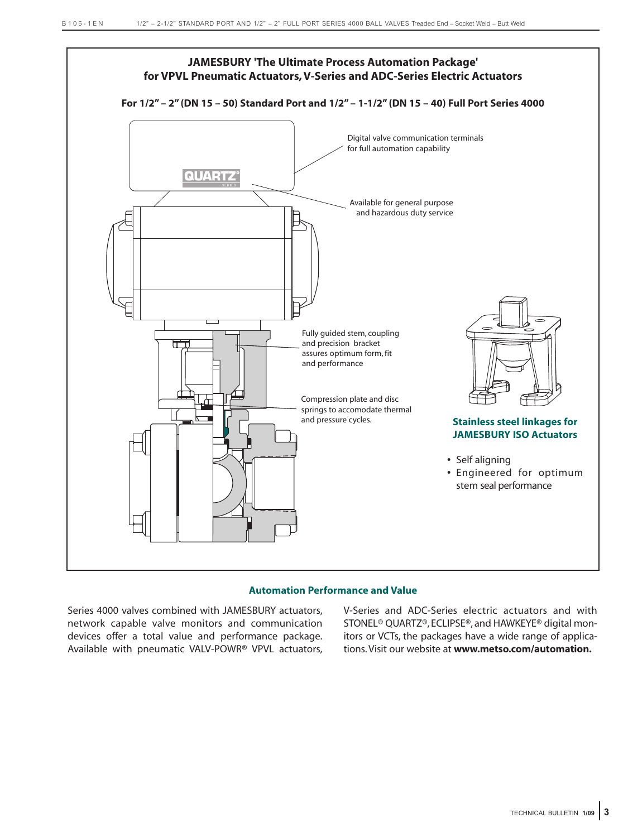

## **Automation Performance and Value**

Series 4000 valves combined with JAMESBURY actuators, network capable valve monitors and communication devices offer a total value and performance package. Available with pneumatic VALV-POWR® VPVL actuators,

V-Series and ADC-Series electric actuators and with STONEL® QUARTZ®, ECLIPSE®, and HAWKEYE® digital monitors or VCTs, the packages have a wide range of applications. Visit our website at **www.metso.com/automation.**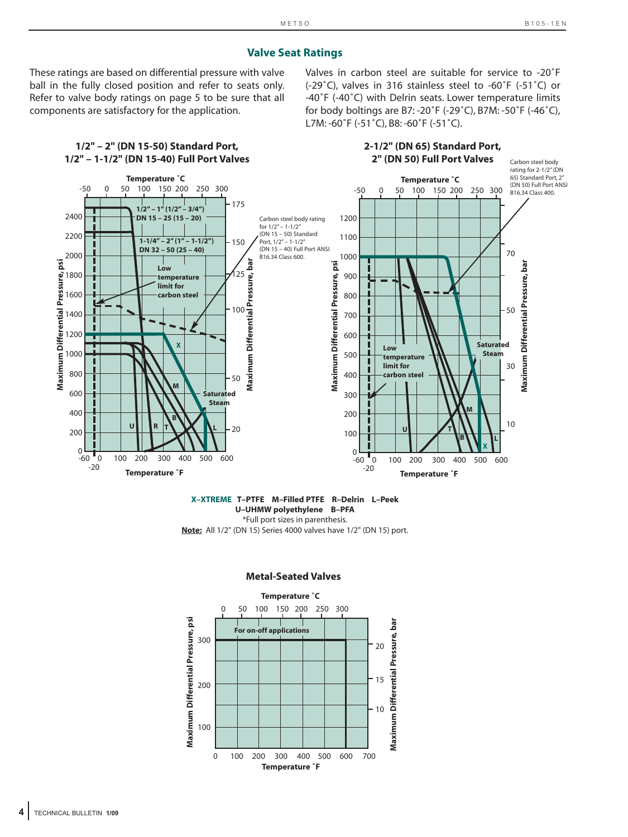# **Valve Seat Ratings**

These ratings are based on differential pressure with valve ball in the fully closed position and refer to seats only. Refer to valve body ratings on page 5 to be sure that all components are satisfactory for the application.

Valves in carbon steel are suitable for service to -20˚F (-29˚C), valves in 316 stainless steel to -60˚F (-51˚C) or -40˚F (-40˚C) with Delrin seats. Lower temperature limits for body boltings are B7: -20˚F (-29˚C), B7M: -50˚F (-46˚C), L7M: -60˚F (-51˚C), B8: -60˚F (-51˚C).



#### **X–XTREME T–PTFE M–Filled PTFE R–Delrin L–Peek U–UHMW polyethylene B–PFA** \*Full port sizes in parenthesis.

**Note:** All 1/2" (DN 15) Series 4000 valves have 1/2" (DN 15) port.

#### **Metal-Seated Valves**

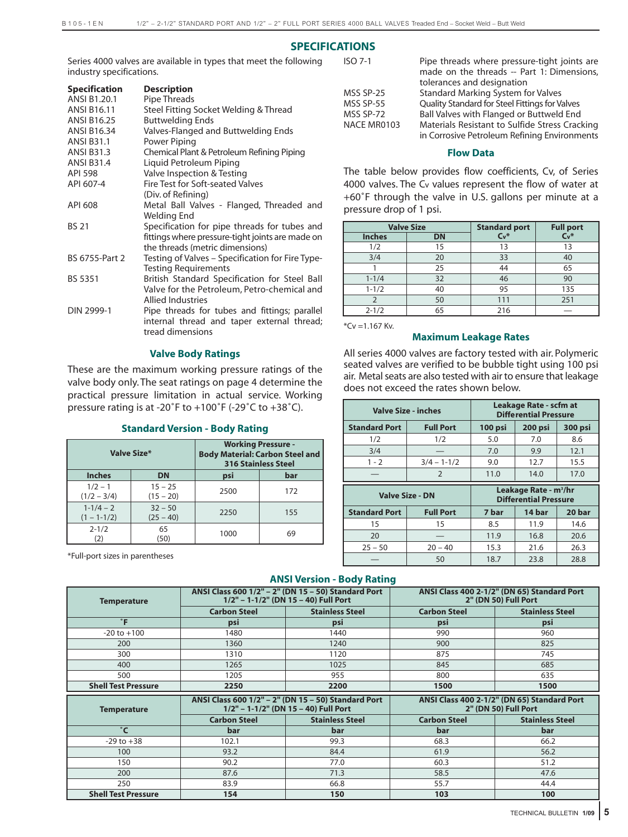# **SPECIFICATIONS**

Series 4000 valves are available in types that meet the following industry specifications.

| <b>Specification</b> | <b>Description</b>                               |
|----------------------|--------------------------------------------------|
| ANSI B1.20.1         | Pipe Threads                                     |
| <b>ANSI B16.11</b>   | Steel Fitting Socket Welding & Thread            |
| <b>ANSI B16.25</b>   | <b>Buttwelding Ends</b>                          |
| <b>ANSI B16.34</b>   | Valves-Flanged and Buttwelding Ends              |
| <b>ANSI B31.1</b>    | Power Piping                                     |
| <b>ANSI B31.3</b>    | Chemical Plant & Petroleum Refining Piping       |
| <b>ANSI B31.4</b>    | Liquid Petroleum Piping                          |
| <b>API 598</b>       | Valve Inspection & Testing                       |
| API 607-4            | Fire Test for Soft-seated Valves                 |
|                      | (Div. of Refining)                               |
| API 608              | Metal Ball Valves - Flanged, Threaded and        |
|                      | Welding End                                      |
| <b>BS 21</b>         | Specification for pipe threads for tubes and     |
|                      | fittings where pressure-tight joints are made on |
|                      | the threads (metric dimensions)                  |
| BS 6755-Part 2       | Testing of Valves – Specification for Fire Type- |
|                      | <b>Testing Requirements</b>                      |
| <b>BS 5351</b>       | British Standard Specification for Steel Ball    |
|                      | Valve for the Petroleum, Petro-chemical and      |
|                      | <b>Allied Industries</b>                         |
| DIN 2999-1           | Pipe threads for tubes and fittings; parallel    |
|                      | internal thread and taper external thread;       |
|                      | tread dimensions                                 |

### **Valve Body Ratings**

These are the maximum working pressure ratings of the valve body only. The seat ratings on page 4 determine the practical pressure limitation in actual service. Working pressure rating is at -20˚F to +100˚F (-29˚C to +38˚C).

#### **Standard Version - Body Rating**

|                                  | Valve Size*              | <b>Working Pressure -</b><br><b>Body Material: Carbon Steel and</b><br><b>316 Stainless Steel</b> |     |  |  |  |
|----------------------------------|--------------------------|---------------------------------------------------------------------------------------------------|-----|--|--|--|
| <b>Inches</b>                    | <b>DN</b>                | psi                                                                                               | bar |  |  |  |
| $1/2 - 1$<br>$(1/2 - 3/4)$       | $15 - 25$<br>$(15 - 20)$ | 2500                                                                                              | 172 |  |  |  |
| $1 - 1/4 - 2$<br>$(1 - 1 - 1/2)$ | $32 - 50$<br>$(25 - 40)$ | 2250                                                                                              | 155 |  |  |  |
| $2 - 1/2$<br>(2)                 | 65<br>(50)               | 1000                                                                                              | 69  |  |  |  |

\*Full-port sizes in parentheses

ISO 7-1 Pipe threads where pressure-tight joints are made on the threads -- Part 1: Dimensions, tolerances and designation MSS SP-25 Standard Marking System for Valves<br>MSS SP-55 Ouality Standard for Steel Fittings for Va Quality Standard for Steel Fittings for Valves MSS SP-72 Ball Valves with Flanged or Buttweld End NACE MR0103 Materials Resistant to Sulfide Stress Cracking in Corrosive Petroleum Refining Environments

#### **Flow Data**

The table below provides flow coefficients, Cv, of Series 4000 valves. The Cv values represent the flow of water at +60˚F through the valve in U.S. gallons per minute at a pressure drop of 1 psi.

|               | <b>Valve Size</b> | <b>Standard port</b> | <b>Full port</b> |  |  |
|---------------|-------------------|----------------------|------------------|--|--|
| <b>Inches</b> | <b>DN</b>         | $Cv^*$               | $C_v$ *          |  |  |
| 1/2           | 15                | 13                   | 13               |  |  |
| 3/4           | 20                | 33                   | 40               |  |  |
|               | 25                | 44                   | 65               |  |  |
| $1 - 1/4$     | 32                | 46                   | 90               |  |  |
| $1 - 1/2$     | 40                | 95                   | 135              |  |  |
|               | 50                | 111                  | 251              |  |  |
| $2 - 1/2$     | 65                | 216                  |                  |  |  |

\*Cv =1.167 Kv.

### **Maximum Leakage Rates**

All series 4000 valves are factory tested with air. Polymeric seated valves are verified to be bubble tight using 100 psi air. Metal seats are also tested with air to ensure that leakage does not exceed the rates shown below.

| <b>Valve Size - inches</b> |                  | Leakage Rate - scfm at<br><b>Differential Pressure</b> |                                                                   |         |  |  |  |
|----------------------------|------------------|--------------------------------------------------------|-------------------------------------------------------------------|---------|--|--|--|
| <b>Standard Port</b>       | <b>Full Port</b> | 100 psi                                                | 200 psi                                                           | 300 psi |  |  |  |
| 1/2                        | 1/2              | 5.0                                                    | 7.0                                                               | 8.6     |  |  |  |
| 3/4                        |                  | 7.0                                                    | 9.9                                                               | 12.1    |  |  |  |
| $1 - 2$                    | $3/4 - 1 - 1/2$  | 9.0                                                    | 12.7                                                              | 15.5    |  |  |  |
|                            | $\mathcal{P}$    | 11.0                                                   | 14.0                                                              | 17.0    |  |  |  |
|                            |                  |                                                        |                                                                   |         |  |  |  |
| <b>Valve Size - DN</b>     |                  |                                                        | Leakage Rate - m <sup>3</sup> /hr<br><b>Differential Pressure</b> |         |  |  |  |
| <b>Standard Port</b>       | <b>Full Port</b> | 7 bar                                                  | 14 bar                                                            | 20 bar  |  |  |  |
| 15                         | 15               | 8.5                                                    | 11.9                                                              | 14.6    |  |  |  |
| 20                         |                  | 11.9                                                   | 16.8                                                              | 20.6    |  |  |  |
| $25 - 50$                  | $20 - 40$        | 15.3                                                   | 21.6                                                              | 26.3    |  |  |  |

#### **ANSI Version - Body Rating**

| <b>Temperature</b>         |                     | ANSI Class 600 1/2" - 2" (DN 15 - 50) Standard Port<br>1/2" - 1-1/2" (DN 15 - 40) Full Port | ANSI Class 400 2-1/2" (DN 65) Standard Port<br>2" (DN 50) Full Port |                                                                     |  |  |
|----------------------------|---------------------|---------------------------------------------------------------------------------------------|---------------------------------------------------------------------|---------------------------------------------------------------------|--|--|
|                            | <b>Carbon Steel</b> | <b>Stainless Steel</b>                                                                      | <b>Carbon Steel</b>                                                 | <b>Stainless Steel</b>                                              |  |  |
| $\mathbf{F}$               | psi                 | psi                                                                                         | psi                                                                 | psi                                                                 |  |  |
| $-20$ to $+100$            | 1480                | 1440                                                                                        | 990                                                                 | 960                                                                 |  |  |
| 200                        | 1360                | 1240                                                                                        | 900                                                                 | 825                                                                 |  |  |
| 300                        | 1310                | 1120                                                                                        | 875                                                                 | 745                                                                 |  |  |
| 400                        | 1265                | 1025                                                                                        | 845                                                                 | 685                                                                 |  |  |
| 500                        | 1205                | 955                                                                                         | 800                                                                 | 635                                                                 |  |  |
| <b>Shell Test Pressure</b> | 2250                | 2200                                                                                        | 1500                                                                | 1500                                                                |  |  |
|                            |                     |                                                                                             |                                                                     |                                                                     |  |  |
| <b>Temperature</b>         |                     | ANSI Class 600 1/2" - 2" (DN 15 - 50) Standard Port<br>1/2" - 1-1/2" (DN 15 - 40) Full Port |                                                                     | ANSI Class 400 2-1/2" (DN 65) Standard Port<br>2" (DN 50) Full Port |  |  |
|                            | <b>Carbon Steel</b> | <b>Stainless Steel</b>                                                                      | <b>Carbon Steel</b>                                                 | <b>Stainless Steel</b>                                              |  |  |
| $^{\circ}$ C               | bar                 | bar                                                                                         | bar                                                                 | bar                                                                 |  |  |
| $-29$ to $+38$             | 102.1               | 99.3                                                                                        | 68.3                                                                | 66.2                                                                |  |  |
| 100                        | 93.2                | 84.4                                                                                        | 61.9                                                                | 56.2                                                                |  |  |
| 150                        | 90.2                | 77.0                                                                                        | 60.3                                                                | 51.2                                                                |  |  |
| 200                        | 87.6                | 71.3                                                                                        | 58.5                                                                | 47.6                                                                |  |  |
| 250                        | 83.9                | 66.8                                                                                        | 55.7                                                                | 44.4                                                                |  |  |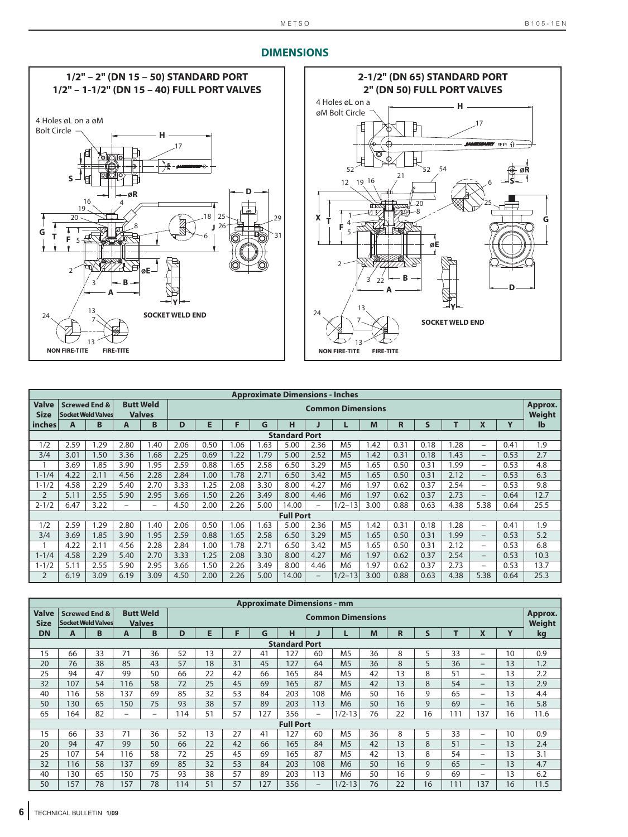



| <b>Approximate Dimensions - Inches</b> |      |                           |                          |                  |      |                          |      |      |                  |                          |                |      |        |      |      |                          |      |              |
|----------------------------------------|------|---------------------------|--------------------------|------------------|------|--------------------------|------|------|------------------|--------------------------|----------------|------|--------|------|------|--------------------------|------|--------------|
| <b>Valve</b>                           |      | <b>Screwed End &amp;</b>  |                          | <b>Butt Weld</b> |      | <b>Common Dimensions</b> |      |      |                  |                          |                |      |        |      |      | Approx.                  |      |              |
| <b>Size</b>                            |      | <b>Socket Weld Valves</b> |                          | <b>Valves</b>    |      |                          |      |      |                  |                          |                |      | Weight |      |      |                          |      |              |
| l inches                               | A    | B                         | A                        | B                | D    | E                        | F    | G    | н                |                          | L              | M    | R      | S    |      | X                        | Y    | $\mathbf{I}$ |
| <b>Standard Port</b>                   |      |                           |                          |                  |      |                          |      |      |                  |                          |                |      |        |      |      |                          |      |              |
| 1/2                                    | 2.59 | 1.29                      | 2.80                     | 1.40             | 2.06 | 0.50                     | 1.06 | 1.63 | 5.00             | 2.36                     | M <sub>5</sub> | .42  | 0.31   | 0.18 | 1.28 | $-$                      | 0.41 | 1.9          |
| 3/4                                    | 3.01 | 1.50                      | 3.36                     | 1.68             | 2.25 | 0.69                     | 1.22 | 1.79 | 5.00             | 2.52                     | M <sub>5</sub> | .42  | 0.31   | 0.18 | 1.43 | $-$                      | 0.53 | 2.7          |
|                                        | 3.69 | 1.85                      | 3.90                     | 1.95             | 2.59 | 0.88                     | .65  | 2.58 | 6.50             | 3.29                     | M <sub>5</sub> | .65  | 0.50   | 0.31 | 1.99 | $\overline{\phantom{0}}$ | 0.53 | 4.8          |
| $1 - 1/4$                              | 4.22 | 2.11                      | 4.56                     | 2.28             | 2.84 | 1.00                     | 1.78 | 2.71 | 6.50             | 3.42                     | M <sub>5</sub> | .65  | 0.50   | 0.31 | 2.12 | $-$                      | 0.53 | 6.3          |
| $1 - 1/2$                              | 4.58 | 2.29                      | 5.40                     | 2.70             | 3.33 | 1.25                     | 2.08 | 3.30 | 8.00             | 4.27                     | M6             | 1.97 | 0.62   | 0.37 | 2.54 | $\qquad \qquad -$        | 0.53 | 9.8          |
| $\overline{2}$                         | 5.11 | 2.55                      | 5.90                     | 2.95             | 3.66 | 1.50                     | 2.26 | 3.49 | 8.00             | 4.46                     | M <sub>6</sub> | 1.97 | 0.62   | 0.37 | 2.73 | $-$                      | 0.64 | 12.7         |
| $2 - 1/2$                              | 6.47 | 3.22                      | $\overline{\phantom{m}}$ | -                | 4.50 | 2.00                     | 2.26 | 5.00 | 14.00            | $\overline{\phantom{0}}$ | $1/2 - 13$     | 3.00 | 0.88   | 0.63 | 4.38 | 5.38                     | 0.64 | 25.5         |
|                                        |      |                           |                          |                  |      |                          |      |      | <b>Full Port</b> |                          |                |      |        |      |      |                          |      |              |
| 1/2                                    | 2.59 | 1.29                      | 2.80                     | 1.40             | 2.06 | 0.50                     | 1.06 | 1.63 | 5.00             | 2.36                     | M <sub>5</sub> | 1.42 | 0.31   | 0.18 | 1.28 | $-$                      | 0.41 | 1.9          |
| 3/4                                    | 3.69 | 1.85                      | 3.90                     | 1.95             | 2.59 | 0.88                     | 1.65 | 2.58 | 6.50             | 3.29                     | M <sub>5</sub> | 1.65 | 0.50   | 0.31 | 1.99 | $-$                      | 0.53 | 5.2          |
|                                        | 4.22 | 2.11                      | 4.56                     | 2.28             | 2.84 | 1.00                     | 1.78 | 2.71 | 6.50             | 3.42                     | M <sub>5</sub> | 1.65 | 0.50   | 0.31 | 2.12 | -                        | 0.53 | 6.8          |
| $1 - 1/4$                              | 4.58 | 2.29                      | 5.40                     | 2.70             | 3.33 | 1.25                     | 2.08 | 3.30 | 8.00             | 4.27                     | M <sub>6</sub> | 1.97 | 0.62   | 0.37 | 2.54 | $-$                      | 0.53 | 10.3         |
| $1 - 1/2$                              | 5.11 | 2.55                      | 5.90                     | 2.95             | 3.66 | 1.50                     | 2.26 | 3.49 | 8.00             | 4.46                     | M6             | .97  | 0.62   | 0.37 | 2.73 | $-$                      | 0.53 | 13.7         |
| $\overline{2}$                         | 6.19 | 3.09                      | 6.19                     | 3.09             | 4.50 | 2.00                     | 2.26 | 5.00 | 14.00            | $\qquad \qquad -$        | $1/2 - 13$     | 3.00 | 0.88   | 0.63 | 4.38 | 5.38                     | 0.64 | 25.3         |

| <b>Approximate Dimensions - mm</b> |     |                                                       |                          |                                   |                          |    |    |     |                      |                          |                |    |              |              |                   |                          |    |      |
|------------------------------------|-----|-------------------------------------------------------|--------------------------|-----------------------------------|--------------------------|----|----|-----|----------------------|--------------------------|----------------|----|--------------|--------------|-------------------|--------------------------|----|------|
| <b>Valve</b><br><b>Size</b>        |     | <b>Screwed End &amp;</b><br><b>Socket Weld Valves</b> |                          | <b>Butt Weld</b><br><b>Valves</b> | <b>Common Dimensions</b> |    |    |     |                      |                          |                |    |              |              | Approx.<br>Weight |                          |    |      |
| <b>DN</b>                          | A   | B                                                     | A                        | B                                 | D                        | E  | F  | G   | н                    |                          | ι              | M  | $\mathsf{R}$ | $\mathsf{s}$ | т                 | X                        | Y  | kg   |
|                                    |     |                                                       |                          |                                   |                          |    |    |     | <b>Standard Port</b> |                          |                |    |              |              |                   |                          |    |      |
| 15                                 | 66  | 33                                                    | 71                       | 36                                | 52                       | 13 | 27 | 41  | 127                  | 60                       | M <sub>5</sub> | 36 | 8            | 5            | 33                | $\overline{\phantom{m}}$ | 10 | 0.9  |
| 20                                 | 76  | 38                                                    | 85                       | 43                                | 57                       | 18 | 31 | 45  | 127                  | 64                       | M <sub>5</sub> | 36 | 8            | 5            | 36                | $-$                      | 13 | 1.2  |
| 25                                 | 94  | 47                                                    | 99                       | 50                                | 66                       | 22 | 42 | 66  | 165                  | 84                       | M <sub>5</sub> | 42 | 13           | 8            | 51                | $\overline{\phantom{0}}$ | 13 | 2.2  |
| 32                                 | 107 | 54                                                    | 116                      | 58                                | 72                       | 25 | 45 | 69  | 165                  | 87                       | M <sub>5</sub> | 42 | 13           | 8            | 54                | $\qquad \qquad -$        | 13 | 2.9  |
| 40                                 | 116 | 58                                                    | 137                      | 69                                | 85                       | 32 | 53 | 84  | 203                  | 108                      | M6             | 50 | 16           | 9            | 65                | $\overline{\phantom{m}}$ | 13 | 4.4  |
| 50                                 | 130 | 65                                                    | 150                      | 75                                | 93                       | 38 | 57 | 89  | 203                  | 113                      | M <sub>6</sub> | 50 | 16           | 9            | 69                | $\overline{\phantom{m}}$ | 16 | 5.8  |
| 65                                 | 164 | 82                                                    | $\overline{\phantom{m}}$ | $\qquad \qquad -$                 | 114                      | 51 | 57 | 127 | 356                  | $\overline{\phantom{m}}$ | $1/2 - 13$     | 76 | 22           | 16           | 111               | 137                      | 16 | 11.6 |
|                                    |     |                                                       |                          |                                   |                          |    |    |     | <b>Full Port</b>     |                          |                |    |              |              |                   |                          |    |      |
| 15                                 | 66  | 33                                                    | 71                       | 36                                | 52                       | 13 | 27 | 41  | 127                  | 60                       | M <sub>5</sub> | 36 | 8            | 5            | 33                | $\overline{\phantom{m}}$ | 10 | 0.9  |
| 20                                 | 94  | 47                                                    | 99                       | 50                                | 66                       | 22 | 42 | 66  | 165                  | 84                       | M <sub>5</sub> | 42 | 13           | 8            | 51                | $\overline{\phantom{m}}$ | 13 | 2.4  |
| 25                                 | 107 | 54                                                    | 116                      | 58                                | 72                       | 25 | 45 | 69  | 165                  | 87                       | M <sub>5</sub> | 42 | 13           | 8            | 54                | $\qquad \qquad$          | 13 | 3.1  |
| 32                                 | 116 | 58                                                    | 137                      | 69                                | 85                       | 32 | 53 | 84  | 203                  | 108                      | M <sub>6</sub> | 50 | 16           | 9            | 65                | $-$                      | 13 | 4.7  |
| 40                                 | 130 | 65                                                    | 150                      | 75                                | 93                       | 38 | 57 | 89  | 203                  | 113                      | M6             | 50 | 16           | 9            | 69                | $\overline{\phantom{m}}$ | 13 | 6.2  |
| 50                                 | 157 | 78                                                    | 157                      | 78                                | 114                      | 51 | 57 | 127 | 356                  | $\qquad \qquad -$        | $1/2 - 13$     | 76 | 22           | 16           | 111               | 137                      | 16 | 11.5 |

### **DIMENSIONS**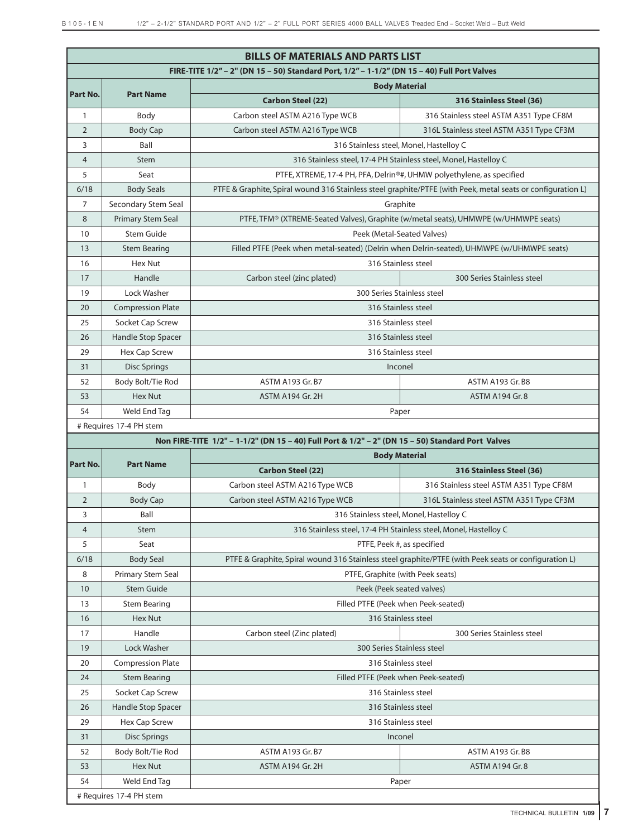|                |                          | <b>BILLS OF MATERIALS AND PARTS LIST</b>                                                         |                                                                                                             |  |  |  |
|----------------|--------------------------|--------------------------------------------------------------------------------------------------|-------------------------------------------------------------------------------------------------------------|--|--|--|
|                |                          | FIRE-TITE 1/2" - 2" (DN 15 - 50) Standard Port, 1/2" - 1-1/2" (DN 15 - 40) Full Port Valves      |                                                                                                             |  |  |  |
|                |                          |                                                                                                  | <b>Body Material</b>                                                                                        |  |  |  |
| Part No.       | <b>Part Name</b>         | <b>Carbon Steel (22)</b>                                                                         | 316 Stainless Steel (36)                                                                                    |  |  |  |
| 1              | Body                     | Carbon steel ASTM A216 Type WCB                                                                  | 316 Stainless steel ASTM A351 Type CF8M                                                                     |  |  |  |
| $\overline{2}$ | <b>Body Cap</b>          | Carbon steel ASTM A216 Type WCB                                                                  | 316L Stainless steel ASTM A351 Type CF3M                                                                    |  |  |  |
| 3              | Ball                     |                                                                                                  | 316 Stainless steel, Monel, Hastelloy C                                                                     |  |  |  |
| $\overline{4}$ | Stem                     |                                                                                                  | 316 Stainless steel, 17-4 PH Stainless steel, Monel, Hastelloy C                                            |  |  |  |
| 5              | Seat                     |                                                                                                  | PTFE, XTREME, 17-4 PH, PFA, Delrin®#, UHMW polyethylene, as specified                                       |  |  |  |
| 6/18           | <b>Body Seals</b>        |                                                                                                  | PTFE & Graphite, Spiral wound 316 Stainless steel graphite/PTFE (with Peek, metal seats or configuration L) |  |  |  |
| 7              | Secondary Stem Seal      |                                                                                                  | Graphite                                                                                                    |  |  |  |
| 8              | <b>Primary Stem Seal</b> | PTFE, TFM® (XTREME-Seated Valves), Graphite (w/metal seats), UHMWPE (w/UHMWPE seats)             |                                                                                                             |  |  |  |
| 10             | <b>Stem Guide</b>        |                                                                                                  | Peek (Metal-Seated Valves)                                                                                  |  |  |  |
| 13             | <b>Stem Bearing</b>      |                                                                                                  | Filled PTFE (Peek when metal-seated) (Delrin when Delrin-seated), UHMWPE (w/UHMWPE seats)                   |  |  |  |
| 16             | <b>Hex Nut</b>           |                                                                                                  | 316 Stainless steel                                                                                         |  |  |  |
| 17             | Handle                   | Carbon steel (zinc plated)                                                                       | 300 Series Stainless steel                                                                                  |  |  |  |
| 19             | Lock Washer              |                                                                                                  | 300 Series Stainless steel                                                                                  |  |  |  |
| 20             | <b>Compression Plate</b> |                                                                                                  | 316 Stainless steel                                                                                         |  |  |  |
| 25             | Socket Cap Screw         |                                                                                                  | 316 Stainless steel                                                                                         |  |  |  |
| 26             | Handle Stop Spacer       |                                                                                                  | 316 Stainless steel                                                                                         |  |  |  |
| 29             | <b>Hex Cap Screw</b>     |                                                                                                  | 316 Stainless steel                                                                                         |  |  |  |
| 31             | <b>Disc Springs</b>      |                                                                                                  | Inconel                                                                                                     |  |  |  |
| 52             | Body Bolt/Tie Rod        | ASTM A193 Gr. B7                                                                                 | ASTM A193 Gr. B8                                                                                            |  |  |  |
| 53             | Hex Nut                  | ASTM A194 Gr. 2H                                                                                 | <b>ASTM A194 Gr. 8</b>                                                                                      |  |  |  |
| 54             | Weld End Tag             |                                                                                                  | Paper                                                                                                       |  |  |  |
|                | # Requires 17-4 PH stem  |                                                                                                  |                                                                                                             |  |  |  |
|                |                          | Non FIRE-TITE 1/2" - 1-1/2" (DN 15 - 40) Full Port & 1/2" - 2" (DN 15 - 50) Standard Port Valves |                                                                                                             |  |  |  |
| Part No.       | <b>Part Name</b>         |                                                                                                  | <b>Body Material</b>                                                                                        |  |  |  |
|                |                          | <b>Carbon Steel (22)</b>                                                                         | 316 Stainless Steel (36)                                                                                    |  |  |  |
| $\mathbf{1}$   | Body                     | Carbon steel ASTM A216 Type WCB                                                                  | 316 Stainless steel ASTM A351 Type CF8M                                                                     |  |  |  |
| $\overline{2}$ | <b>Body Cap</b>          | Carbon steel ASTM A216 Type WCB                                                                  | 316L Stainless steel ASTM A351 Type CF3M                                                                    |  |  |  |
| 3              | Ball                     |                                                                                                  | 316 Stainless steel, Monel, Hastelloy C                                                                     |  |  |  |
| 4              | Stem                     |                                                                                                  | 316 Stainless steel, 17-4 PH Stainless steel, Monel, Hastelloy C                                            |  |  |  |
| 5              | Seat                     |                                                                                                  | PTFE, Peek #, as specified                                                                                  |  |  |  |
| 6/18           | <b>Body Seal</b>         |                                                                                                  | PTFE & Graphite, Spiral wound 316 Stainless steel graphite/PTFE (with Peek seats or configuration L)        |  |  |  |
| 8              | Primary Stem Seal        |                                                                                                  | PTFE, Graphite (with Peek seats)                                                                            |  |  |  |
| 10             | <b>Stem Guide</b>        |                                                                                                  | Peek (Peek seated valves)                                                                                   |  |  |  |
| 13             | <b>Stem Bearing</b>      |                                                                                                  | Filled PTFE (Peek when Peek-seated)                                                                         |  |  |  |
| 16             | Hex Nut                  |                                                                                                  | 316 Stainless steel                                                                                         |  |  |  |
| 17             | Handle                   | Carbon steel (Zinc plated)                                                                       | 300 Series Stainless steel                                                                                  |  |  |  |
| 19             | Lock Washer              |                                                                                                  | 300 Series Stainless steel                                                                                  |  |  |  |
| 20             | <b>Compression Plate</b> |                                                                                                  | 316 Stainless steel                                                                                         |  |  |  |
| 24             | <b>Stem Bearing</b>      |                                                                                                  | Filled PTFE (Peek when Peek-seated)                                                                         |  |  |  |
| 25             | Socket Cap Screw         |                                                                                                  | 316 Stainless steel                                                                                         |  |  |  |
| 26             | Handle Stop Spacer       |                                                                                                  | 316 Stainless steel                                                                                         |  |  |  |
| 29             | Hex Cap Screw            |                                                                                                  | 316 Stainless steel                                                                                         |  |  |  |
| 31             | <b>Disc Springs</b>      |                                                                                                  | Inconel                                                                                                     |  |  |  |
| 52             | Body Bolt/Tie Rod        | ASTM A193 Gr. B7                                                                                 | ASTM A193 Gr. B8                                                                                            |  |  |  |
| 53             | Hex Nut                  | ASTM A194 Gr. 2H                                                                                 | <b>ASTM A194 Gr. 8</b>                                                                                      |  |  |  |
| 54             | Weld End Tag             |                                                                                                  | Paper                                                                                                       |  |  |  |
|                | # Requires 17-4 PH stem  |                                                                                                  |                                                                                                             |  |  |  |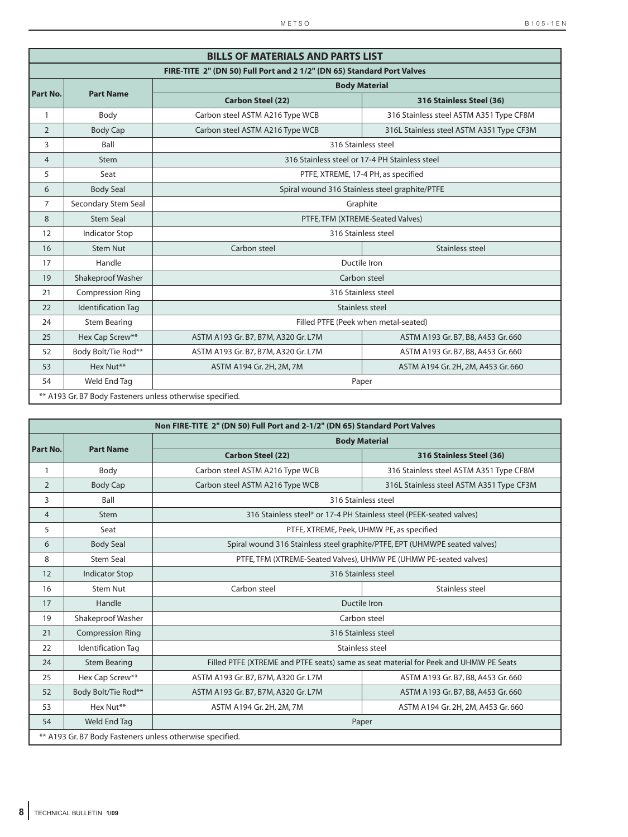|                |                                                           | <b>BILLS OF MATERIALS AND PARTS LIST</b>                               |                                                |  |  |  |
|----------------|-----------------------------------------------------------|------------------------------------------------------------------------|------------------------------------------------|--|--|--|
|                |                                                           | FIRE-TITE 2" (DN 50) Full Port and 2 1/2" (DN 65) Standard Port Valves |                                                |  |  |  |
|                |                                                           |                                                                        | <b>Body Material</b>                           |  |  |  |
| Part No.       | <b>Part Name</b>                                          | <b>Carbon Steel (22)</b>                                               | 316 Stainless Steel (36)                       |  |  |  |
| $\mathbf{1}$   | Body                                                      | Carbon steel ASTM A216 Type WCB                                        | 316 Stainless steel ASTM A351 Type CF8M        |  |  |  |
| 2              | <b>Body Cap</b>                                           | Carbon steel ASTM A216 Type WCB                                        | 316L Stainless steel ASTM A351 Type CF3M       |  |  |  |
| 3              | Ball                                                      |                                                                        | 316 Stainless steel                            |  |  |  |
| $\overline{4}$ | <b>Stem</b>                                               |                                                                        | 316 Stainless steel or 17-4 PH Stainless steel |  |  |  |
| 5              | Seat                                                      |                                                                        | PTFE, XTREME, 17-4 PH, as specified            |  |  |  |
| 6              | <b>Body Seal</b>                                          |                                                                        | Spiral wound 316 Stainless steel graphite/PTFE |  |  |  |
| 7              | Secondary Stem Seal                                       |                                                                        | Graphite                                       |  |  |  |
| 8              | <b>Stem Seal</b>                                          |                                                                        | PTFE, TFM (XTREME-Seated Valves)               |  |  |  |
| 12             | <b>Indicator Stop</b>                                     |                                                                        | 316 Stainless steel                            |  |  |  |
| 16             | <b>Stem Nut</b>                                           | Carbon steel                                                           | Stainless steel                                |  |  |  |
| 17             | Handle                                                    |                                                                        | Ductile Iron                                   |  |  |  |
| 19             | Shakeproof Washer                                         |                                                                        | Carbon steel                                   |  |  |  |
| 21             | <b>Compression Ring</b>                                   |                                                                        | 316 Stainless steel                            |  |  |  |
| 22             | <b>Identification Tag</b>                                 |                                                                        | Stainless steel                                |  |  |  |
| 24             | <b>Stem Bearing</b>                                       |                                                                        | Filled PTFE (Peek when metal-seated)           |  |  |  |
| 25             | Hex Cap Screw**                                           | ASTM A193 Gr. B7, B7M, A320 Gr. L7M                                    | ASTM A193 Gr. B7, B8, A453 Gr. 660             |  |  |  |
| 52             | Body Bolt/Tie Rod**                                       | ASTM A193 Gr. B7, B7M, A320 Gr. L7M                                    | ASTM A193 Gr. B7, B8, A453 Gr. 660             |  |  |  |
| 53             | Hex Nut**                                                 | ASTM A194 Gr. 2H, 2M, 7M                                               | ASTM A194 Gr. 2H, 2M, A453 Gr. 660             |  |  |  |
| 54             | Weld End Tag                                              |                                                                        | Paper                                          |  |  |  |
|                | ** A193 Gr. B7 Body Fasteners unless otherwise specified. |                                                                        |                                                |  |  |  |

|                |                           | Non FIRE-TITE 2" (DN 50) Full Port and 2-1/2" (DN 65) Standard Port Valves |                                                                                      |
|----------------|---------------------------|----------------------------------------------------------------------------|--------------------------------------------------------------------------------------|
|                |                           |                                                                            | <b>Body Material</b>                                                                 |
| Part No.       | <b>Part Name</b>          | <b>Carbon Steel (22)</b>                                                   | 316 Stainless Steel (36)                                                             |
| $\mathbf{1}$   | Body                      | Carbon steel ASTM A216 Type WCB                                            | 316 Stainless steel ASTM A351 Type CF8M                                              |
| 2              | <b>Body Cap</b>           | Carbon steel ASTM A216 Type WCB                                            | 316L Stainless steel ASTM A351 Type CF3M                                             |
| 3              | Ball                      | 316 Stainless steel                                                        |                                                                                      |
| $\overline{4}$ | <b>Stem</b>               |                                                                            | 316 Stainless steel* or 17-4 PH Stainless steel (PEEK-seated valves)                 |
| 5              | Seat                      | PTFE, XTREME, Peek, UHMW PE, as specified                                  |                                                                                      |
| 6              | <b>Body Seal</b>          |                                                                            | Spiral wound 316 Stainless steel graphite/PTFE, EPT (UHMWPE seated valves)           |
| 8              | <b>Stem Seal</b>          |                                                                            | PTFE, TFM (XTREME-Seated Valves), UHMW PE (UHMW PE-seated valves)                    |
| 12             | <b>Indicator Stop</b>     |                                                                            | 316 Stainless steel                                                                  |
| 16             | Stem Nut                  | Carbon steel                                                               | Stainless steel                                                                      |
| 17             | Handle                    |                                                                            | Ductile Iron                                                                         |
| 19             | Shakeproof Washer         |                                                                            | Carbon steel                                                                         |
| 21             | <b>Compression Ring</b>   | 316 Stainless steel                                                        |                                                                                      |
| 22             | <b>Identification Tag</b> |                                                                            | Stainless steel                                                                      |
| 24             | <b>Stem Bearing</b>       |                                                                            | Filled PTFE (XTREME and PTFE seats) same as seat material for Peek and UHMW PE Seats |
| 25             | Hex Cap Screw**           | ASTM A193 Gr. B7, B7M, A320 Gr. L7M                                        | ASTM A193 Gr. B7, B8, A453 Gr. 660                                                   |
| 52             | Body Bolt/Tie Rod**       | ASTM A193 Gr. B7, B7M, A320 Gr. L7M                                        | ASTM A193 Gr. B7, B8, A453 Gr. 660                                                   |
| 53             | Hex Nut**                 | ASTM A194 Gr. 2H, 2M, 7M                                                   | ASTM A194 Gr. 2H, 2M, A453 Gr. 660                                                   |
| 54             | Weld End Tag              |                                                                            | Paper                                                                                |
|                |                           | ** A193 Gr. B7 Body Fasteners unless otherwise specified.                  |                                                                                      |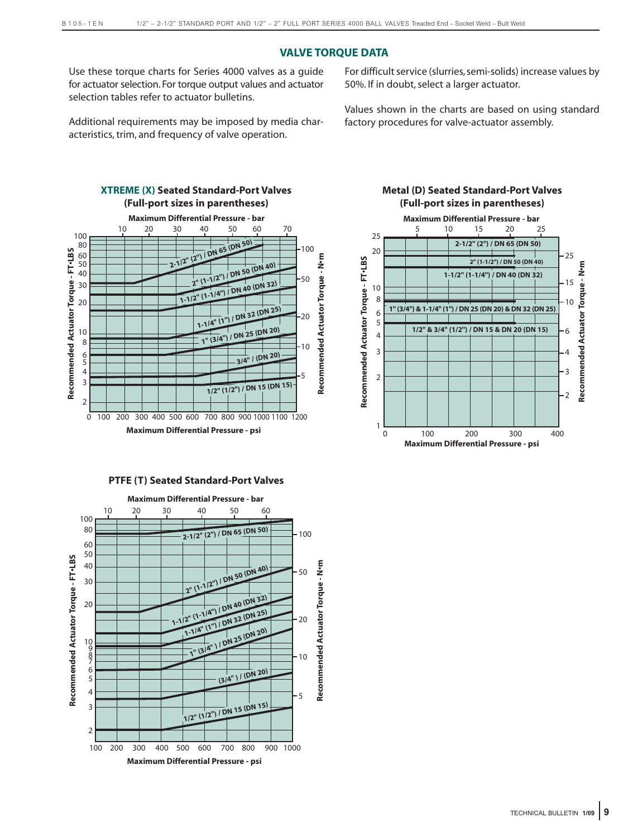# **VALVE TORQUE DATA**

Use these torque charts for Series 4000 valves as a guide for actuator selection. For torque output values and actuator selection tables refer to actuator bulletins.

Additional requirements may be imposed by media characteristics, trim, and frequency of valve operation.

For difficult service (slurries, semi-solids) increase values by 50%. If in doubt, select a larger actuator.

Values shown in the charts are based on using standard factory procedures for valve-actuator assembly.



### **PTFE (T) Seated Standard-Port Valves**



# **Metal (D) Seated Standard-Port Valves (Full-port sizes in parentheses)**

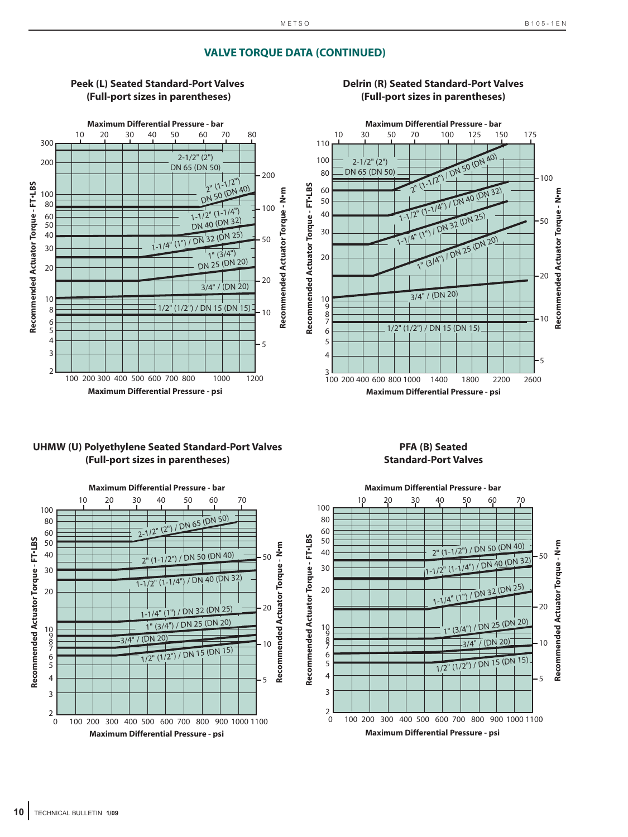**Recommended Actuator Torque - N•m**

Recommended Actuator Torque - Nom

50

20

10

5

# **VALVE TORQUE DATA (CONTINUED)**



# **Peek (L) Seated Standard-Port Valves (Full-port sizes in parentheses)**

# **UHMW (U) Polyethylene Seated Standard-Port Valves (Full-port sizes in parentheses)**



**PFA (B) Seated**



# **Delrin (R) Seated Standard-Port Valves (Full-port sizes in parentheses)**

**Recommended Actuator Torque - FT•LBS**

Recommended Actuator Torque - FT-LBS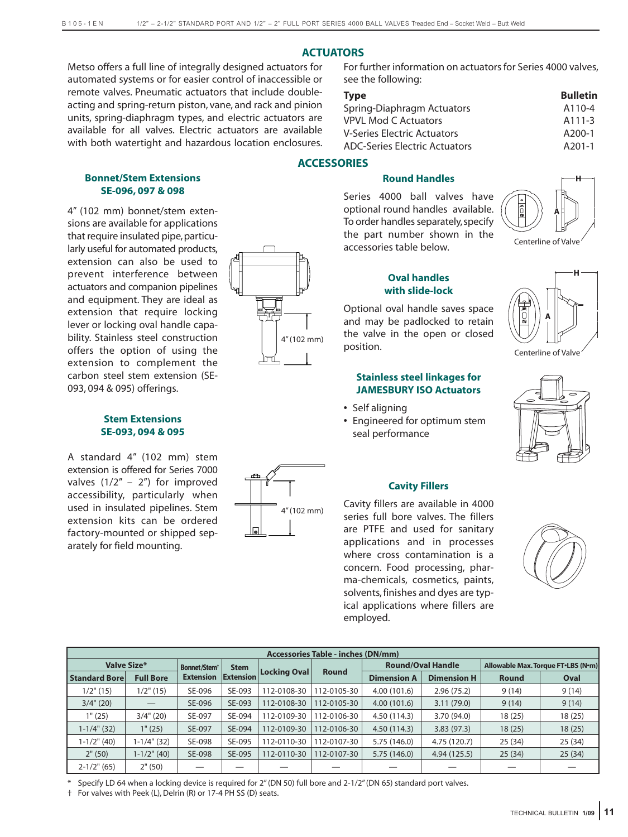# **ACTUATORS**

**ACCESSORIES**

Metso offers a full line of integrally designed actuators for automated systems or for easier control of inaccessible or remote valves. Pneumatic actuators that include doubleacting and spring-return piston, vane, and rack and pinion units, spring-diaphragm types, and electric actuators are available for all valves. Electric actuators are available with both watertight and hazardous location enclosures.

## **Bonnet/Stem Extensions SE-096, 097 & 098**

4" (102 mm) bonnet/stem extensions are available for applications that require insulated pipe, particularly useful for automated products, extension can also be used to prevent interference between actuators and companion pipelines and equipment. They are ideal as extension that require locking lever or locking oval handle capability. Stainless steel construction offers the option of using the extension to complement the carbon steel stem extension (SE-093, 094 & 095) offerings.

# **Stem Extensions SE-093, 094 & 095**

A standard 4" (102 mm) stem extension is offered for Series 7000 valves  $(1/2" - 2")$  for improved accessibility, particularly when used in insulated pipelines. Stem extension kits can be ordered factory-mounted or shipped separately for field mounting.



# **Round Handles**

see the following:

For further information on actuators for Series 4000 valves,

**Type Bulletin** Spring-Diaphragm Actuators A110-4 VPVL Mod C Actuators A111-3 V-Series Electric Actuators **A200-1** ADC-Series Electric Actuators A201-1

Series 4000 ball valves have optional round handles available. To order handles separately,specify the part number shown in the accessories table below.



# **Oval handles with slide-lock**

Optional oval handle saves space and may be padlocked to retain the valve in the open or closed position.

# **Stainless steel linkages for JAMESBURY ISO Actuators**

- **•** Self aligning
- **•** Engineered for optimum stem seal performance





### **Cavity Fillers**

Cavity fillers are available in 4000 series full bore valves. The fillers are PTFE and used for sanitary applications and in processes where cross contamination is a concern. Food processing, pharma-chemicals, cosmetics, paints, solvents, finishes and dyes are typical applications where fillers are employed.



|                      | <b>Accessories Table - inches (DN/mm)</b> |                          |             |              |              |                    |                          |              |                                    |  |  |  |  |
|----------------------|-------------------------------------------|--------------------------|-------------|--------------|--------------|--------------------|--------------------------|--------------|------------------------------------|--|--|--|--|
| <b>Valve Size*</b>   |                                           | Bonnet/Stem <sup>+</sup> | <b>Stem</b> |              |              |                    | <b>Round/Oval Handle</b> |              | Allowable Max. Torque FT.LBS (N.m) |  |  |  |  |
| <b>Standard Bore</b> | <b>Full Bore</b>                          | <b>Extension</b>         | Extension   | Locking Oval | <b>Round</b> | <b>Dimension A</b> | <b>Dimension H</b>       | <b>Round</b> | Oval                               |  |  |  |  |
| $1/2$ " (15)         | $1/2$ " (15)                              | SE-096                   | SE-093      | 112-0108-30  | 12-0105-30   | 4.00 (101.6)       | 2.96(75.2)               | 9(14)        | 9(14)                              |  |  |  |  |
| $3/4$ " (20)         |                                           | SE-096                   | SE-093      | 112-0108-30  | 112-0105-30  | 4.00(101.6)        | 3.11(79.0)               | 9(14)        | 9(14)                              |  |  |  |  |
| 1" (25)              | $3/4$ " (20)                              | SE-097                   | SE-094      | 112-0109-30  | 112-0106-30  | 4.50(114.3)        | 3.70 (94.0)              | 18(25)       | 18(25)                             |  |  |  |  |
| $1-1/4$ " (32)       | 1" (25)                                   | SE-097                   | SE-094      | 112-0109-30  | 112-0106-30  | 4.50(114.3)        | 3.83(97.3)               | 18(25)       | 18(25)                             |  |  |  |  |
| $1-1/2$ " (40)       | $1-1/4$ " (32)                            | SE-098                   | SE-095      | 112-0110-30  | 12-0107-30   | 5.75 (146.0)       | 4.75 (120.7)             | 25 (34)      | 25(34)                             |  |  |  |  |
| 2" (50)              | $1-1/2$ " (40)                            | SE-098                   | SE-095      | 112-0110-30  | 112-0107-30  | 5.75 (146.0)       | 4.94(125.5)              | 25(34)       | 25(34)                             |  |  |  |  |
| $2-1/2$ " (65)       | 2" (50)                                   |                          |             |              |              |                    |                          |              |                                    |  |  |  |  |

Specify LD 64 when a locking device is required for 2" (DN 50) full bore and 2-1/2" (DN 65) standard port valves.

† For valves with Peek (L), Delrin (R) or 17-4 PH SS (D) seats.